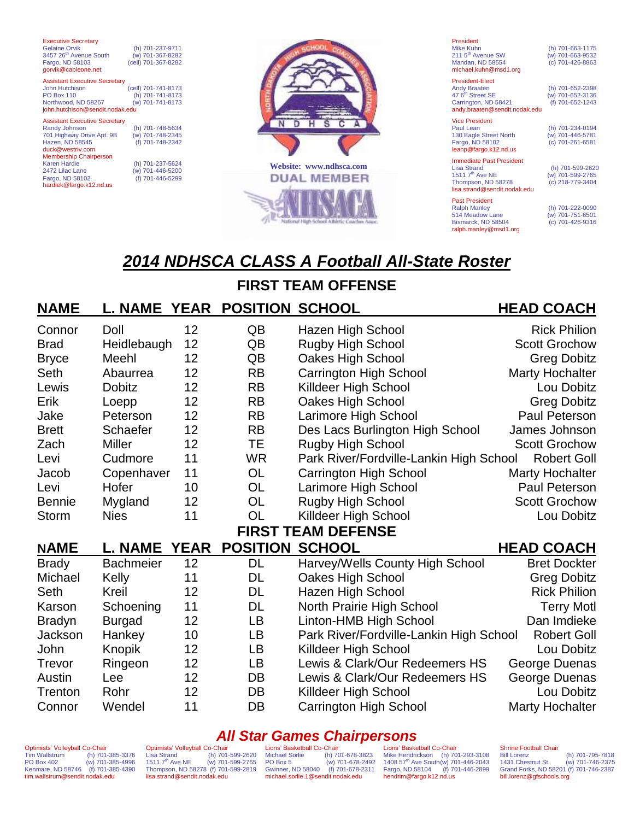| <b>Executive Secretary</b><br>Gelaine Orvik<br>3457 26 <sup>th</sup> Avenue South<br>Fargo, ND 58103<br>gorvik@cableone.net                                                                                                                 | (h) 701-237-9711<br>(w) 701-367-8282<br>(cell) 701-367-8282                                                          |
|---------------------------------------------------------------------------------------------------------------------------------------------------------------------------------------------------------------------------------------------|----------------------------------------------------------------------------------------------------------------------|
| <b>Assistant Executive Secretary</b><br><b>John Hutchison</b><br><b>PO Box 110</b><br>Northwood, ND 58267<br>john.hutchison@sendit.nodak.edu                                                                                                | (cell) 701-741-8173<br>(h) 701-741-8173<br>(w) 701-741-8173                                                          |
| <b>Assistant Executive Secretary</b><br>Randy Johnson<br>701 Highway Drive Apt. 9B<br>Hazen, ND 58545<br>duck@westriv.com<br><b>Membership Chairperson</b><br>Karen Hardie<br>2472 Lilac Lane<br>Fargo, ND 58102<br>hardiek@fargo.k12.nd.us | (h) 701-748-5634<br>(w) 701-748-2345<br>(f) 701-748-2342<br>(h) 701-237-5624<br>(w) 701-446-5200<br>(f) 701-446-5299 |



| President<br>Mike Kuhn<br>211 5 <sup>th</sup> Avenue SW<br>Mandan, ND 58554<br>michael.kuhn@msd1.org                                   | (h) 701-663-1175<br>(w) 701-663-9532<br>(c) 701-426-8863 |
|----------------------------------------------------------------------------------------------------------------------------------------|----------------------------------------------------------|
| <b>President-Elect</b><br><b>Andy Braaten</b><br>47 6 <sup>th</sup> Street SE<br>Carrington, ND 58421<br>andy.braaten@sendit.nodak.edu | (h) 701-652-2398<br>(w) 701-652-3136<br>(f) 701-652-1243 |
| <b>Vice President</b><br>Paul Lean<br>130 Eagle Street North<br>Fargo, ND 58102<br>leanp@fargo.k12.nd.us                               | (h) 701-234-0194<br>(w) 701-446-5781<br>(c) 701-261-6581 |
| <b>Immediate Past President</b><br><b>Lisa Strand</b><br>1511 $7th$ Ave NE<br>Thompson, ND 58278<br>lisa.strand@sendit.nodak.edu       | (h) 701-599-2620<br>(w) 701-599-2765<br>(c) 218-779-3404 |
| <b>Past President</b><br><b>Ralph Manley</b><br>514 Meadow Lane<br>Bismarck, ND 58504                                                  | (h) 701-222-0090<br>(w) 701-751-6501<br>(c) 701-426-9316 |

[ralph.manley@msd1.org](mailto:gregg.grinsteinner@sendit.nodak.edu)

# *2014 NDHSCA CLASS A Football All-State Roster*

## **FIRST TEAM OFFENSE**

#### **NAME L. NAME YEAR POSITION SCHOOL HEAD COACH** Connor Doll 12 QB Hazen High School Rick Philion Brad Heidlebaugh 12 QB Rugby High School Scott Grochow Bryce Meehl 12 QB Oakes High School Greg Dobitz Seth Abaurrea 12 RB Carrington High School Marty Hochalter Lewis Dobitz 12 RB Killdeer High School Lou Dobitz Erik Loepp 12 RB Oakes High School Greg Dobitz Jake Peterson 12 RB Larimore High School Paul Peterson Brett Schaefer 12 RB Des Lacs Burlington High School James Johnson Zach Miller 12 TE Rugby High School Scott Grochow Levi Cudmore 11 WR Park River/Fordville-Lankin High School Robert Goll Jacob Copenhaver 11 OL Carrington High School Marty Hochalter Levi Hofer 10 OL Larimore High School Paul Peterson Bennie Mygland 12 OL Rugby High School Scott Grochow Storm Nies 11 OL Killdeer High School Lou Dobitz **FIRST TEAM DEFENSE NAME L. NAME YEAR POSITION SCHOOL HEAD COACH** Brady Bachmeier 12 DL Harvey/Wells County High School Bret Dockter Michael Kelly 11 DL Oakes High School Greg Dobitz Seth Kreil 12 DL Hazen High School Rick Philion Karson Schoening 11 DL North Prairie High School Terry Motl Bradyn Burgad 12 LB Linton-HMB High School Dan Imdieke Jackson Hankey 10 LB Park River/Fordville-Lankin High School Robert Goll John Knopik 12 LB Killdeer High School Lou Dobitz Trevor Ringeon 12 LB Lewis & Clark/Our Redeemers HS George Duenas Austin Lee 12 DB Lewis & Clark/Our Redeemers HS George Duenas Trenton Rohr 12 DB Killdeer High School Lou Dobitz Connor Wendel 11 DB Carrington High School Marty Hochalter

#### *All Star Games Chairpersons*

Optimists' Volleyball Co-Chair<br>Tim Wallstrum (h) 701 Tim Wallstrum (h) 701-385-3376<br>PO Box 402 (w) 701-385-4996  $(w)$  701-385-4996 Kenmare, ND 58746 (f) 701-385-4390 [tim.wallstrum@sendit.nodak.edu](mailto:tim.wallstrum@sendit.nodak.edu)

Optimists' Volleyball Co-Chair<br>Lisa Strand (h) 701-Lisa Strand (h) 701-599-2620<br>1511 7<sup>th</sup> Ave NE (w) 701-599-2765  $(w)$  701-599-2765 Thompson, ND 58278 (f) 701-599-2819 [lisa.strand@sendit.nodak.edu](mailto:lisa.strand@sendit.nodak.edu)

Lions' Basketball Co-Chair<br>Michael Sorlie (h) 7

Michael Sorlie (h) 701-678-3823<br>PO Box 5 (m) 701-678-2492  $(w)$  701-678-2492 Gwinner, ND 58040 (f) 701-678-2311 michael.sorlie.1@sendit.nodak.edu

Lions' Basketball Co-Chair Mike Hendrickson (h) 701-293-3108 1408 57<sup>th</sup> Ave South(w) 701-446-2043 Fargo, ND 58104 (f) 701-446-2899 hendrim@fargo.k12.nd.us

Shrine Football Chair<br>Bill Lorenz Bill Lorenz (h) 701-795-7818  $(w)$  701-746-2375 Grand Forks, ND 58201 (f) 701-746-2387 bill.lorenz@gfschools.org